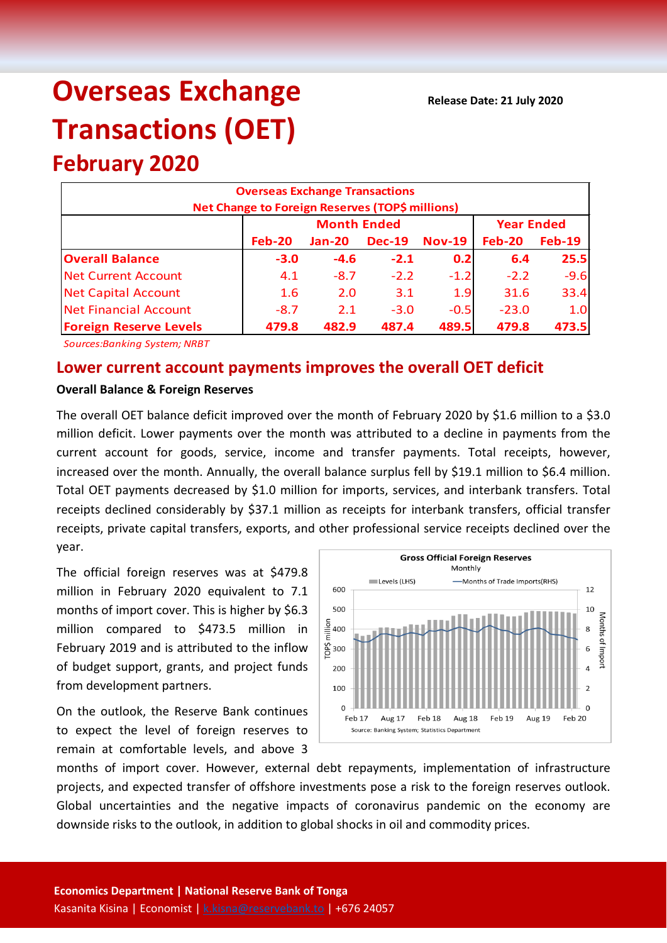# **Overseas Exchange Transactions (OET)**

## **February 2020 Overseas Exchange Transactions Net Change to Foreign Reserves (TOP\$ millions) Feb-20 Jan-20 Dec-19 Nov-19 Feb-20 Feb-19 Overall Balance -3.0 -4.6 -2.1 0.2 6.4 25.5** Net Current Account 4.1 -8.7 -2.2 -1.2 -2.2 -9.6 Net Capital Account 1.6 2.0 3.1 1.9 31.6 33.4 Net Financial Account 1 -8.7 2.1 -3.0 -0.5 -23.0 1.0 **Foreign Reserve Levels 479.8 482.9 487.4 489.5 479.8 473.5 Month Ended Year Ended**

*Sources:Banking System; NRBT*

### **Lower current account payments improves the overall OET deficit**

#### **Overall Balance & Foreign Reserves**

The overall OET balance deficit improved over the month of February 2020 by \$1.6 million to a \$3.0 million deficit. Lower payments over the month was attributed to a decline in payments from the current account for goods, service, income and transfer payments. Total receipts, however, increased over the month. Annually, the overall balance surplus fell by \$19.1 million to \$6.4 million. Total OET payments decreased by \$1.0 million for imports, services, and interbank transfers. Total receipts declined considerably by \$37.1 million as receipts for interbank transfers, official transfer receipts, private capital transfers, exports, and other professional service receipts declined over the year.

The official foreign reserves was at \$479.8 million in February 2020 equivalent to 7.1 months of import cover. This is higher by \$6.3 million compared to \$473.5 million in February 2019 and is attributed to the inflow of budget support, grants, and project funds from development partners.

On the outlook, the Reserve Bank continues to expect the level of foreign reserves to remain at comfortable levels, and above 3



months of import cover. However, external debt repayments, implementation of infrastructure projects, and expected transfer of offshore investments pose a risk to the foreign reserves outlook. Global uncertainties and the negative impacts of coronavirus pandemic on the economy are downside risks to the outlook, in addition to global shocks in oil and commodity prices.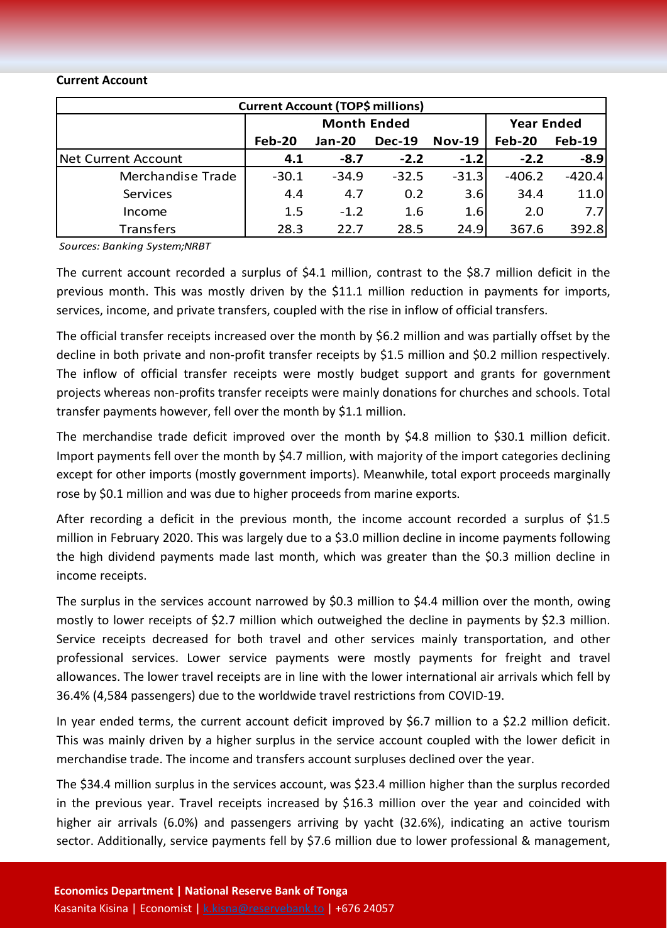#### **Current Account**

| <b>Current Account (TOP\$ millions)</b> |                    |         |               |               |                   |               |  |  |
|-----------------------------------------|--------------------|---------|---------------|---------------|-------------------|---------------|--|--|
|                                         | <b>Month Ended</b> |         |               |               | <b>Year Ended</b> |               |  |  |
|                                         | Feb-20             | Jan-20  | <b>Dec-19</b> | <b>Nov-19</b> | <b>Feb-20</b>     | <b>Feb-19</b> |  |  |
| Net Current Account                     | 4.1                | $-8.7$  | $-2.2$        | $-1.2$        | $-2.2$            | $-8.9$        |  |  |
| Merchandise Trade                       | $-30.1$            | $-34.9$ | $-32.5$       | $-31.3$       | $-406.2$          | $-420.4$      |  |  |
| Services                                | 4.4                | 4.7     | 0.2           | 3.6           | 34.4              | 11.0          |  |  |
| Income                                  | 1.5                | $-1.2$  | 1.6           | 1.6           | 2.0               | 7.7           |  |  |
| <b>Transfers</b>                        | 28.3               | 22.7    | 28.5          | 24.9          | 367.6             | 392.8         |  |  |

*Sources: Banking System;NRBT*

The current account recorded a surplus of \$4.1 million, contrast to the \$8.7 million deficit in the previous month. This was mostly driven by the \$11.1 million reduction in payments for imports, services, income, and private transfers, coupled with the rise in inflow of official transfers.

The official transfer receipts increased over the month by \$6.2 million and was partially offset by the decline in both private and non-profit transfer receipts by \$1.5 million and \$0.2 million respectively. The inflow of official transfer receipts were mostly budget support and grants for government projects whereas non-profits transfer receipts were mainly donations for churches and schools. Total transfer payments however, fell over the month by \$1.1 million.

The merchandise trade deficit improved over the month by \$4.8 million to \$30.1 million deficit. Import payments fell over the month by \$4.7 million, with majority of the import categories declining except for other imports (mostly government imports). Meanwhile, total export proceeds marginally rose by \$0.1 million and was due to higher proceeds from marine exports.

After recording a deficit in the previous month, the income account recorded a surplus of \$1.5 million in February 2020. This was largely due to a \$3.0 million decline in income payments following the high dividend payments made last month, which was greater than the \$0.3 million decline in income receipts.

The surplus in the services account narrowed by \$0.3 million to \$4.4 million over the month, owing mostly to lower receipts of \$2.7 million which outweighed the decline in payments by \$2.3 million. Service receipts decreased for both travel and other services mainly transportation, and other professional services. Lower service payments were mostly payments for freight and travel allowances. The lower travel receipts are in line with the lower international air arrivals which fell by 36.4% (4,584 passengers) due to the worldwide travel restrictions from COVID-19.

In year ended terms, the current account deficit improved by \$6.7 million to a \$2.2 million deficit. This was mainly driven by a higher surplus in the service account coupled with the lower deficit in merchandise trade. The income and transfers account surpluses declined over the year.

The \$34.4 million surplus in the services account, was \$23.4 million higher than the surplus recorded in the previous year. Travel receipts increased by \$16.3 million over the year and coincided with higher air arrivals (6.0%) and passengers arriving by yacht (32.6%), indicating an active tourism sector. Additionally, service payments fell by \$7.6 million due to lower professional & management,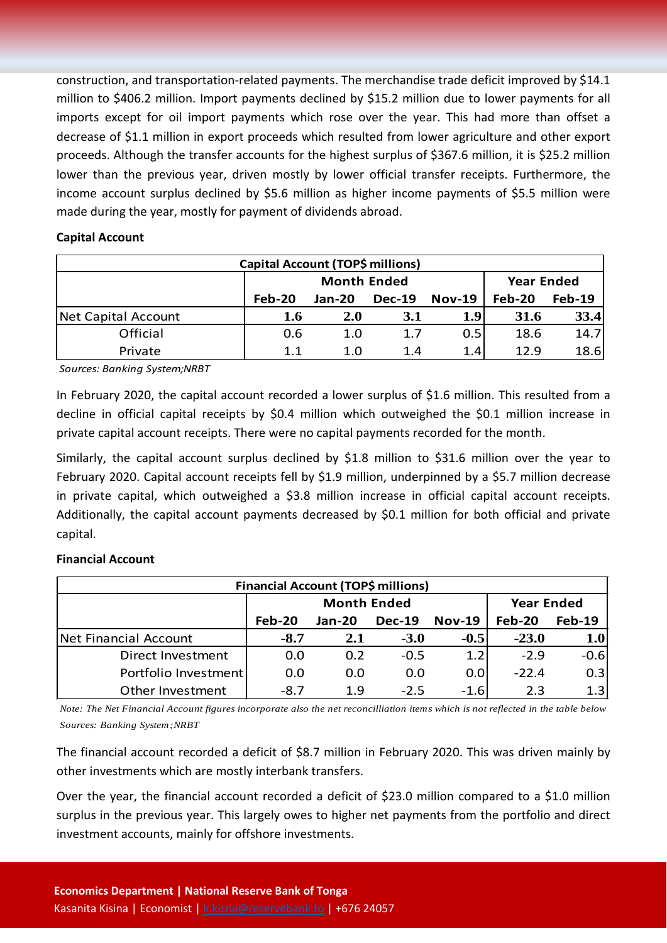construction, and transportation-related payments. The merchandise trade deficit improved by \$14.1 million to \$406.2 million. Import payments declined by \$15.2 million due to lower payments for all imports except for oil import payments which rose over the year. This had more than offset a decrease of \$1.1 million in export proceeds which resulted from lower agriculture and other export proceeds. Although the transfer accounts for the highest surplus of \$367.6 million, it is \$25.2 million lower than the previous year, driven mostly by lower official transfer receipts. Furthermore, the income account surplus declined by \$5.6 million as higher income payments of \$5.5 million were made during the year, mostly for payment of dividends abroad.

#### **Capital Account**

| Capital Account (TOP\$ millions) |        |                    |                   |          |               |               |  |  |
|----------------------------------|--------|--------------------|-------------------|----------|---------------|---------------|--|--|
|                                  |        | <b>Month Ended</b> | <b>Year Ended</b> |          |               |               |  |  |
|                                  | Feb-20 | $Jan-20$           | <b>Dec-19</b>     | $Nov-19$ | <b>Feb-20</b> | <b>Feb-19</b> |  |  |
| Net Capital Account              | 1.6    | <b>2.0</b>         | 3.1               | 1.9      | 31.6          | 33.4          |  |  |
| Official                         | 0.6    | 1.0                | 1.7               | 0.5      | 18.6          | 14.7          |  |  |
| Private                          | 1.1    | 1.0                | 1.4               | 1.4      | 12.9          | 18.6          |  |  |

*Sources: Banking System;NRBT*

In February 2020, the capital account recorded a lower surplus of \$1.6 million. This resulted from a decline in official capital receipts by \$0.4 million which outweighed the \$0.1 million increase in private capital account receipts. There were no capital payments recorded for the month.

Similarly, the capital account surplus declined by \$1.8 million to \$31.6 million over the year to February 2020. Capital account receipts fell by \$1.9 million, underpinned by a \$5.7 million decrease in private capital, which outweighed a \$3.8 million increase in official capital account receipts. Additionally, the capital account payments decreased by \$0.1 million for both official and private capital.

#### **Financial Account**

| Financial Account (TOP\$ millions) |          |                    |                   |               |         |               |  |  |
|------------------------------------|----------|--------------------|-------------------|---------------|---------|---------------|--|--|
|                                    |          | <b>Month Ended</b> | <b>Year Ended</b> |               |         |               |  |  |
|                                    | $Feb-20$ | <b>Jan-20</b>      | <b>Dec-19</b>     | <b>Nov-19</b> | Feb-20  | <b>Feb-19</b> |  |  |
| <b>Net Financial Account</b>       | $-8.7$   | 2.1                | $-3.0$            | $-0.5$        | $-23.0$ | 1.0           |  |  |
| Direct Investment                  | 0.0      | 0.2                | $-0.5$            | 1.2           | $-2.9$  | $-0.6$        |  |  |
| Portfolio Investment               | 0.0      | 0.0                | 0.0               | 0.0           | $-22.4$ | 0.3           |  |  |
| Other Investment                   | $-8.7$   | 1.9                | $-2.5$            | $-1.6$        | 2.3     | 1.3           |  |  |

*Note: The Net Financial Account figures incorporate also the net reconcilliation items which is not reflected in the table below Sources: Banking System;NRBT*

The financial account recorded a deficit of \$8.7 million in February 2020. This was driven mainly by other investments which are mostly interbank transfers.

Over the year, the financial account recorded a deficit of \$23.0 million compared to a \$1.0 million surplus in the previous year. This largely owes to higher net payments from the portfolio and direct investment accounts, mainly for offshore investments.